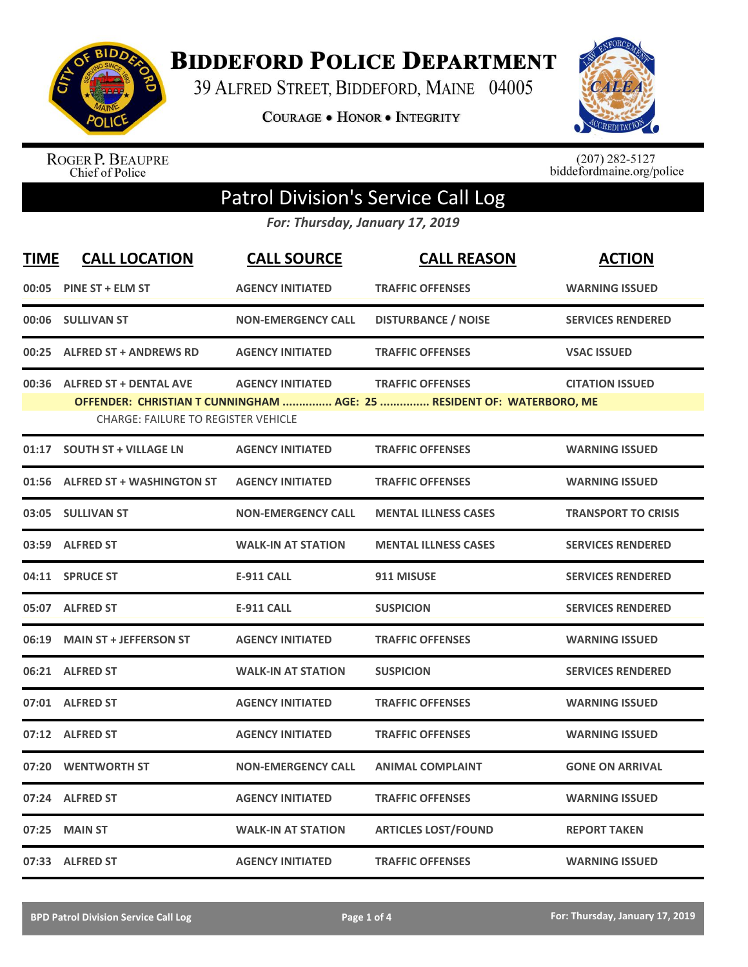

**BIDDEFORD POLICE DEPARTMENT** 

39 ALFRED STREET, BIDDEFORD, MAINE 04005

**COURAGE . HONOR . INTEGRITY** 



ROGER P. BEAUPRE<br>Chief of Police

 $(207)$  282-5127<br>biddefordmaine.org/police

## Patrol Division's Service Call Log

*For: Thursday, January 17, 2019*

| <b>TIME</b> | <b>CALL LOCATION</b>                                                        | <b>CALL SOURCE</b>        | <b>CALL REASON</b>                                                                               | <b>ACTION</b>              |
|-------------|-----------------------------------------------------------------------------|---------------------------|--------------------------------------------------------------------------------------------------|----------------------------|
| 00:05       | <b>PINE ST + ELM ST</b>                                                     | <b>AGENCY INITIATED</b>   | <b>TRAFFIC OFFENSES</b>                                                                          | <b>WARNING ISSUED</b>      |
|             | 00:06 SULLIVAN ST                                                           | <b>NON-EMERGENCY CALL</b> | <b>DISTURBANCE / NOISE</b>                                                                       | <b>SERVICES RENDERED</b>   |
|             | 00:25 ALFRED ST + ANDREWS RD                                                | <b>AGENCY INITIATED</b>   | <b>TRAFFIC OFFENSES</b>                                                                          | <b>VSAC ISSUED</b>         |
| 00:36       | <b>ALFRED ST + DENTAL AVE</b><br><b>CHARGE: FAILURE TO REGISTER VEHICLE</b> | <b>AGENCY INITIATED</b>   | <b>TRAFFIC OFFENSES</b><br>OFFENDER: CHRISTIAN T CUNNINGHAM  AGE: 25  RESIDENT OF: WATERBORO, ME | <b>CITATION ISSUED</b>     |
|             | 01:17 SOUTH ST + VILLAGE LN                                                 | <b>AGENCY INITIATED</b>   | <b>TRAFFIC OFFENSES</b>                                                                          | <b>WARNING ISSUED</b>      |
| 01:56       | <b>ALFRED ST + WASHINGTON ST</b>                                            | <b>AGENCY INITIATED</b>   | <b>TRAFFIC OFFENSES</b>                                                                          | <b>WARNING ISSUED</b>      |
| 03:05       | <b>SULLIVAN ST</b>                                                          | <b>NON-EMERGENCY CALL</b> | <b>MENTAL ILLNESS CASES</b>                                                                      | <b>TRANSPORT TO CRISIS</b> |
|             | 03:59 ALFRED ST                                                             | <b>WALK-IN AT STATION</b> | <b>MENTAL ILLNESS CASES</b>                                                                      | <b>SERVICES RENDERED</b>   |
|             | 04:11 SPRUCE ST                                                             | <b>E-911 CALL</b>         | 911 MISUSE                                                                                       | <b>SERVICES RENDERED</b>   |
|             | 05:07 ALFRED ST                                                             | <b>E-911 CALL</b>         | <b>SUSPICION</b>                                                                                 | <b>SERVICES RENDERED</b>   |
| 06:19       | <b>MAIN ST + JEFFERSON ST</b>                                               | <b>AGENCY INITIATED</b>   | <b>TRAFFIC OFFENSES</b>                                                                          | <b>WARNING ISSUED</b>      |
|             | 06:21 ALFRED ST                                                             | <b>WALK-IN AT STATION</b> | <b>SUSPICION</b>                                                                                 | <b>SERVICES RENDERED</b>   |
|             | 07:01 ALFRED ST                                                             | <b>AGENCY INITIATED</b>   | <b>TRAFFIC OFFENSES</b>                                                                          | <b>WARNING ISSUED</b>      |
|             | 07:12 ALFRED ST                                                             | <b>AGENCY INITIATED</b>   | <b>TRAFFIC OFFENSES</b>                                                                          | <b>WARNING ISSUED</b>      |
| 07:20       | <b>WENTWORTH ST</b>                                                         | <b>NON-EMERGENCY CALL</b> | <b>ANIMAL COMPLAINT</b>                                                                          | <b>GONE ON ARRIVAL</b>     |
|             | 07:24 ALFRED ST                                                             | <b>AGENCY INITIATED</b>   | <b>TRAFFIC OFFENSES</b>                                                                          | <b>WARNING ISSUED</b>      |
| 07:25       | <b>MAIN ST</b>                                                              | <b>WALK-IN AT STATION</b> | <b>ARTICLES LOST/FOUND</b>                                                                       | <b>REPORT TAKEN</b>        |
|             | 07:33 ALFRED ST                                                             | <b>AGENCY INITIATED</b>   | <b>TRAFFIC OFFENSES</b>                                                                          | <b>WARNING ISSUED</b>      |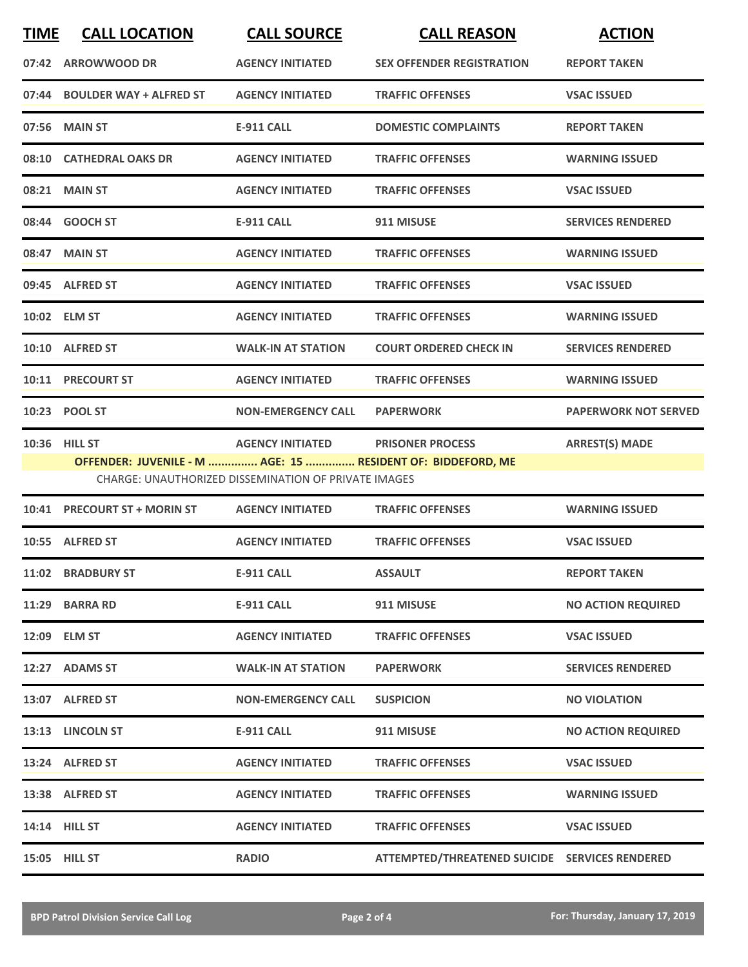| <b>TIME</b>                                                                                                                | <b>CALL LOCATION</b>          | <b>CALL SOURCE</b>        | <b>CALL REASON</b>               | <b>ACTION</b>               |
|----------------------------------------------------------------------------------------------------------------------------|-------------------------------|---------------------------|----------------------------------|-----------------------------|
| 07:42                                                                                                                      | <b>ARROWWOOD DR</b>           | <b>AGENCY INITIATED</b>   | <b>SEX OFFENDER REGISTRATION</b> | <b>REPORT TAKEN</b>         |
|                                                                                                                            | 07:44 BOULDER WAY + ALFRED ST | <b>AGENCY INITIATED</b>   | <b>TRAFFIC OFFENSES</b>          | <b>VSAC ISSUED</b>          |
|                                                                                                                            | 07:56 MAIN ST                 | <b>E-911 CALL</b>         | <b>DOMESTIC COMPLAINTS</b>       | <b>REPORT TAKEN</b>         |
|                                                                                                                            | 08:10 CATHEDRAL OAKS DR       | <b>AGENCY INITIATED</b>   | <b>TRAFFIC OFFENSES</b>          | <b>WARNING ISSUED</b>       |
|                                                                                                                            | 08:21 MAIN ST                 | <b>AGENCY INITIATED</b>   | <b>TRAFFIC OFFENSES</b>          | <b>VSAC ISSUED</b>          |
|                                                                                                                            | 08:44 GOOCH ST                | <b>E-911 CALL</b>         | 911 MISUSE                       | <b>SERVICES RENDERED</b>    |
|                                                                                                                            | 08:47 MAIN ST                 | <b>AGENCY INITIATED</b>   | <b>TRAFFIC OFFENSES</b>          | <b>WARNING ISSUED</b>       |
|                                                                                                                            | 09:45 ALFRED ST               | <b>AGENCY INITIATED</b>   | <b>TRAFFIC OFFENSES</b>          | <b>VSAC ISSUED</b>          |
|                                                                                                                            | 10:02 ELM ST                  | <b>AGENCY INITIATED</b>   | <b>TRAFFIC OFFENSES</b>          | <b>WARNING ISSUED</b>       |
|                                                                                                                            | 10:10 ALFRED ST               | <b>WALK-IN AT STATION</b> | <b>COURT ORDERED CHECK IN</b>    | <b>SERVICES RENDERED</b>    |
|                                                                                                                            | 10:11 PRECOURT ST             | <b>AGENCY INITIATED</b>   | <b>TRAFFIC OFFENSES</b>          | <b>WARNING ISSUED</b>       |
|                                                                                                                            | 10:23 POOL ST                 | <b>NON-EMERGENCY CALL</b> | <b>PAPERWORK</b>                 | <b>PAPERWORK NOT SERVED</b> |
|                                                                                                                            | 10:36 HILL ST                 | <b>AGENCY INITIATED</b>   | <b>PRISONER PROCESS</b>          | <b>ARREST(S) MADE</b>       |
| OFFENDER: JUVENILE - M  AGE: 15  RESIDENT OF: BIDDEFORD, ME<br><b>CHARGE: UNAUTHORIZED DISSEMINATION OF PRIVATE IMAGES</b> |                               |                           |                                  |                             |
|                                                                                                                            | 10:41 PRECOURT ST + MORIN ST  | <b>AGENCY INITIATED</b>   | <b>TRAFFIC OFFENSES</b>          | <b>WARNING ISSUED</b>       |

|       | <b>IDITI INLUDUMI JI INDININ JI</b> | AULIVER INTERFER          |                                                | שטעטו טאוויטאי            |
|-------|-------------------------------------|---------------------------|------------------------------------------------|---------------------------|
|       | 10:55 ALFRED ST                     | <b>AGENCY INITIATED</b>   | <b>TRAFFIC OFFENSES</b>                        | <b>VSAC ISSUED</b>        |
| 11:02 | <b>BRADBURY ST</b>                  | <b>E-911 CALL</b>         | <b>ASSAULT</b>                                 | <b>REPORT TAKEN</b>       |
|       | 11:29 BARRA RD                      | <b>E-911 CALL</b>         | 911 MISUSE                                     | <b>NO ACTION REQUIRED</b> |
|       | 12:09 ELM ST                        | <b>AGENCY INITIATED</b>   | <b>TRAFFIC OFFENSES</b>                        | <b>VSAC ISSUED</b>        |
| 12:27 | <b>ADAMS ST</b>                     | <b>WALK-IN AT STATION</b> | <b>PAPERWORK</b>                               | <b>SERVICES RENDERED</b>  |
|       | 13:07 ALFRED ST                     | <b>NON-EMERGENCY CALL</b> | <b>SUSPICION</b>                               | <b>NO VIOLATION</b>       |
|       | 13:13 LINCOLN ST                    | <b>E-911 CALL</b>         | 911 MISUSE                                     | <b>NO ACTION REQUIRED</b> |
|       | 13:24 ALFRED ST                     | <b>AGENCY INITIATED</b>   | <b>TRAFFIC OFFENSES</b>                        | <b>VSAC ISSUED</b>        |
|       | 13:38 ALFRED ST                     | <b>AGENCY INITIATED</b>   | <b>TRAFFIC OFFENSES</b>                        | <b>WARNING ISSUED</b>     |
|       | 14:14 HILL ST                       | <b>AGENCY INITIATED</b>   | <b>TRAFFIC OFFENSES</b>                        | <b>VSAC ISSUED</b>        |
| 15:05 | <b>HILL ST</b>                      | <b>RADIO</b>              | ATTEMPTED/THREATENED SUICIDE SERVICES RENDERED |                           |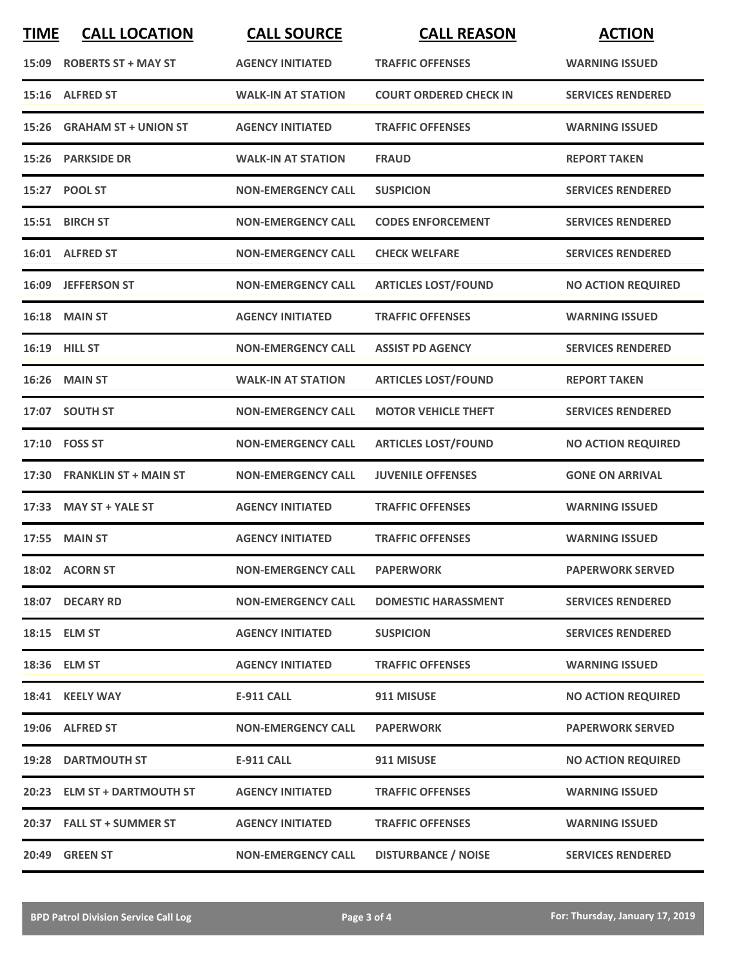| <b>TIME</b> | <b>CALL LOCATION</b>         | <b>CALL SOURCE</b>        | <b>CALL REASON</b>            | <b>ACTION</b>             |
|-------------|------------------------------|---------------------------|-------------------------------|---------------------------|
| 15:09       | <b>ROBERTS ST + MAY ST</b>   | <b>AGENCY INITIATED</b>   | <b>TRAFFIC OFFENSES</b>       | <b>WARNING ISSUED</b>     |
| 15:16       | <b>ALFRED ST</b>             | <b>WALK-IN AT STATION</b> | <b>COURT ORDERED CHECK IN</b> | <b>SERVICES RENDERED</b>  |
| 15:26       | <b>GRAHAM ST + UNION ST</b>  | <b>AGENCY INITIATED</b>   | <b>TRAFFIC OFFENSES</b>       | <b>WARNING ISSUED</b>     |
|             | 15:26 PARKSIDE DR            | <b>WALK-IN AT STATION</b> | <b>FRAUD</b>                  | <b>REPORT TAKEN</b>       |
|             | 15:27 POOL ST                | <b>NON-EMERGENCY CALL</b> | <b>SUSPICION</b>              | <b>SERVICES RENDERED</b>  |
|             | 15:51 BIRCH ST               | <b>NON-EMERGENCY CALL</b> | <b>CODES ENFORCEMENT</b>      | <b>SERVICES RENDERED</b>  |
|             | 16:01 ALFRED ST              | <b>NON-EMERGENCY CALL</b> | <b>CHECK WELFARE</b>          | <b>SERVICES RENDERED</b>  |
| 16:09       | <b>JEFFERSON ST</b>          | <b>NON-EMERGENCY CALL</b> | <b>ARTICLES LOST/FOUND</b>    | <b>NO ACTION REQUIRED</b> |
|             | 16:18 MAIN ST                | <b>AGENCY INITIATED</b>   | <b>TRAFFIC OFFENSES</b>       | <b>WARNING ISSUED</b>     |
|             | 16:19 HILL ST                | <b>NON-EMERGENCY CALL</b> | <b>ASSIST PD AGENCY</b>       | <b>SERVICES RENDERED</b>  |
|             | <b>16:26 MAIN ST</b>         | <b>WALK-IN AT STATION</b> | <b>ARTICLES LOST/FOUND</b>    | <b>REPORT TAKEN</b>       |
|             | 17:07 SOUTH ST               | <b>NON-EMERGENCY CALL</b> | <b>MOTOR VEHICLE THEFT</b>    | <b>SERVICES RENDERED</b>  |
|             | 17:10 FOSS ST                | <b>NON-EMERGENCY CALL</b> | <b>ARTICLES LOST/FOUND</b>    | <b>NO ACTION REQUIRED</b> |
| 17:30       | <b>FRANKLIN ST + MAIN ST</b> | <b>NON-EMERGENCY CALL</b> | <b>JUVENILE OFFENSES</b>      | <b>GONE ON ARRIVAL</b>    |
| 17:33       | <b>MAY ST + YALE ST</b>      | <b>AGENCY INITIATED</b>   | <b>TRAFFIC OFFENSES</b>       | <b>WARNING ISSUED</b>     |
| 17:55       | <b>MAIN ST</b>               | <b>AGENCY INITIATED</b>   | <b>TRAFFIC OFFENSES</b>       | <b>WARNING ISSUED</b>     |
|             | 18:02 ACORN ST               | <b>NON-EMERGENCY CALL</b> | <b>PAPERWORK</b>              | <b>PAPERWORK SERVED</b>   |
|             | 18:07 DECARY RD              | <b>NON-EMERGENCY CALL</b> | <b>DOMESTIC HARASSMENT</b>    | <b>SERVICES RENDERED</b>  |
|             | 18:15 ELM ST                 | <b>AGENCY INITIATED</b>   | <b>SUSPICION</b>              | <b>SERVICES RENDERED</b>  |
|             | 18:36 ELM ST                 | <b>AGENCY INITIATED</b>   | <b>TRAFFIC OFFENSES</b>       | <b>WARNING ISSUED</b>     |
|             | 18:41 KEELY WAY              | <b>E-911 CALL</b>         | 911 MISUSE                    | <b>NO ACTION REQUIRED</b> |
|             | 19:06 ALFRED ST              | <b>NON-EMERGENCY CALL</b> | <b>PAPERWORK</b>              | <b>PAPERWORK SERVED</b>   |
|             | <b>19:28 DARTMOUTH ST</b>    | <b>E-911 CALL</b>         | 911 MISUSE                    | <b>NO ACTION REQUIRED</b> |
|             | 20:23 ELM ST + DARTMOUTH ST  | <b>AGENCY INITIATED</b>   | <b>TRAFFIC OFFENSES</b>       | <b>WARNING ISSUED</b>     |
|             | 20:37 FALL ST + SUMMER ST    | <b>AGENCY INITIATED</b>   | <b>TRAFFIC OFFENSES</b>       | <b>WARNING ISSUED</b>     |
| 20:49       | <b>GREEN ST</b>              | <b>NON-EMERGENCY CALL</b> | <b>DISTURBANCE / NOISE</b>    | <b>SERVICES RENDERED</b>  |